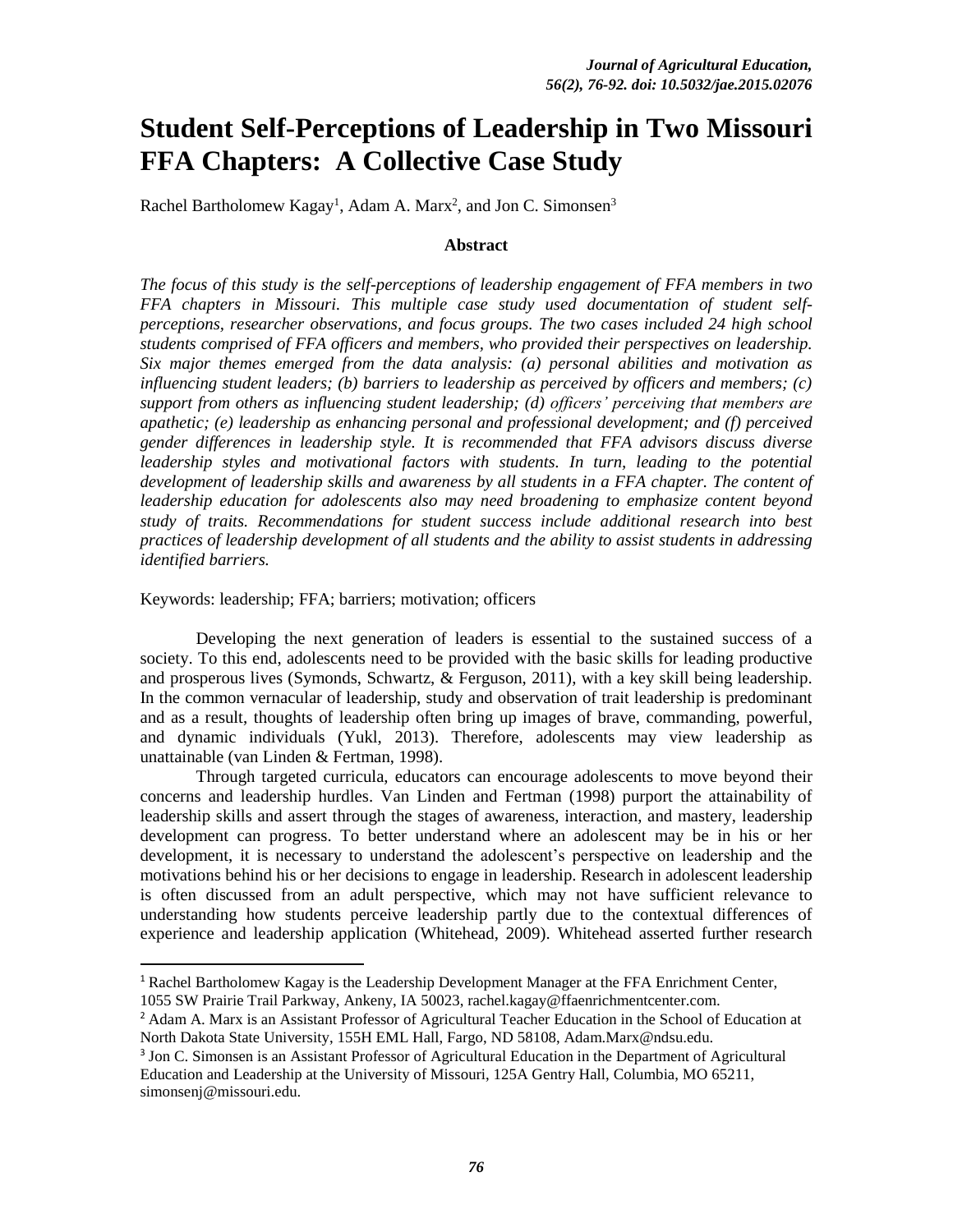# **Student Self-Perceptions of Leadership in Two Missouri FFA Chapters: A Collective Case Study**

Rachel Bartholomew Kagay<sup>1</sup>, Adam A. Marx<sup>2</sup>, and Jon C. Simonsen<sup>3</sup>

#### **Abstract**

*The focus of this study is the self-perceptions of leadership engagement of FFA members in two FFA chapters in Missouri. This multiple case study used documentation of student selfperceptions, researcher observations, and focus groups. The two cases included 24 high school students comprised of FFA officers and members, who provided their perspectives on leadership. Six major themes emerged from the data analysis: (a) personal abilities and motivation as influencing student leaders; (b) barriers to leadership as perceived by officers and members; (c) support from others as influencing student leadership; (d) officers' perceiving that members are apathetic; (e) leadership as enhancing personal and professional development; and (f) perceived gender differences in leadership style. It is recommended that FFA advisors discuss diverse leadership styles and motivational factors with students. In turn, leading to the potential development of leadership skills and awareness by all students in a FFA chapter. The content of leadership education for adolescents also may need broadening to emphasize content beyond study of traits. Recommendations for student success include additional research into best practices of leadership development of all students and the ability to assist students in addressing identified barriers.*

Keywords: leadership; FFA; barriers; motivation; officers

 $\overline{\phantom{a}}$ 

Developing the next generation of leaders is essential to the sustained success of a society. To this end, adolescents need to be provided with the basic skills for leading productive and prosperous lives (Symonds, Schwartz, & Ferguson, 2011), with a key skill being leadership. In the common vernacular of leadership, study and observation of trait leadership is predominant and as a result, thoughts of leadership often bring up images of brave, commanding, powerful, and dynamic individuals (Yukl, 2013). Therefore, adolescents may view leadership as unattainable (van Linden & Fertman, 1998).

Through targeted curricula, educators can encourage adolescents to move beyond their concerns and leadership hurdles. Van Linden and Fertman (1998) purport the attainability of leadership skills and assert through the stages of awareness, interaction, and mastery, leadership development can progress. To better understand where an adolescent may be in his or her development, it is necessary to understand the adolescent's perspective on leadership and the motivations behind his or her decisions to engage in leadership. Research in adolescent leadership is often discussed from an adult perspective, which may not have sufficient relevance to understanding how students perceive leadership partly due to the contextual differences of experience and leadership application (Whitehead, 2009). Whitehead asserted further research

<sup>&</sup>lt;sup>1</sup> Rachel Bartholomew Kagay is the Leadership Development Manager at the FFA Enrichment Center, 1055 SW Prairie Trail Parkway, Ankeny, IA 50023, rachel.kagay@ffaenrichmentcenter.com.

<sup>2</sup> Adam A. Marx is an Assistant Professor of Agricultural Teacher Education in the School of Education at North Dakota State University, 155H EML Hall, Fargo, ND 58108, Adam.Marx@ndsu.edu.

<sup>3</sup> Jon C. Simonsen is an Assistant Professor of Agricultural Education in the Department of Agricultural Education and Leadership at the University of Missouri, 125A Gentry Hall, Columbia, MO 65211, simonsenj@missouri.edu.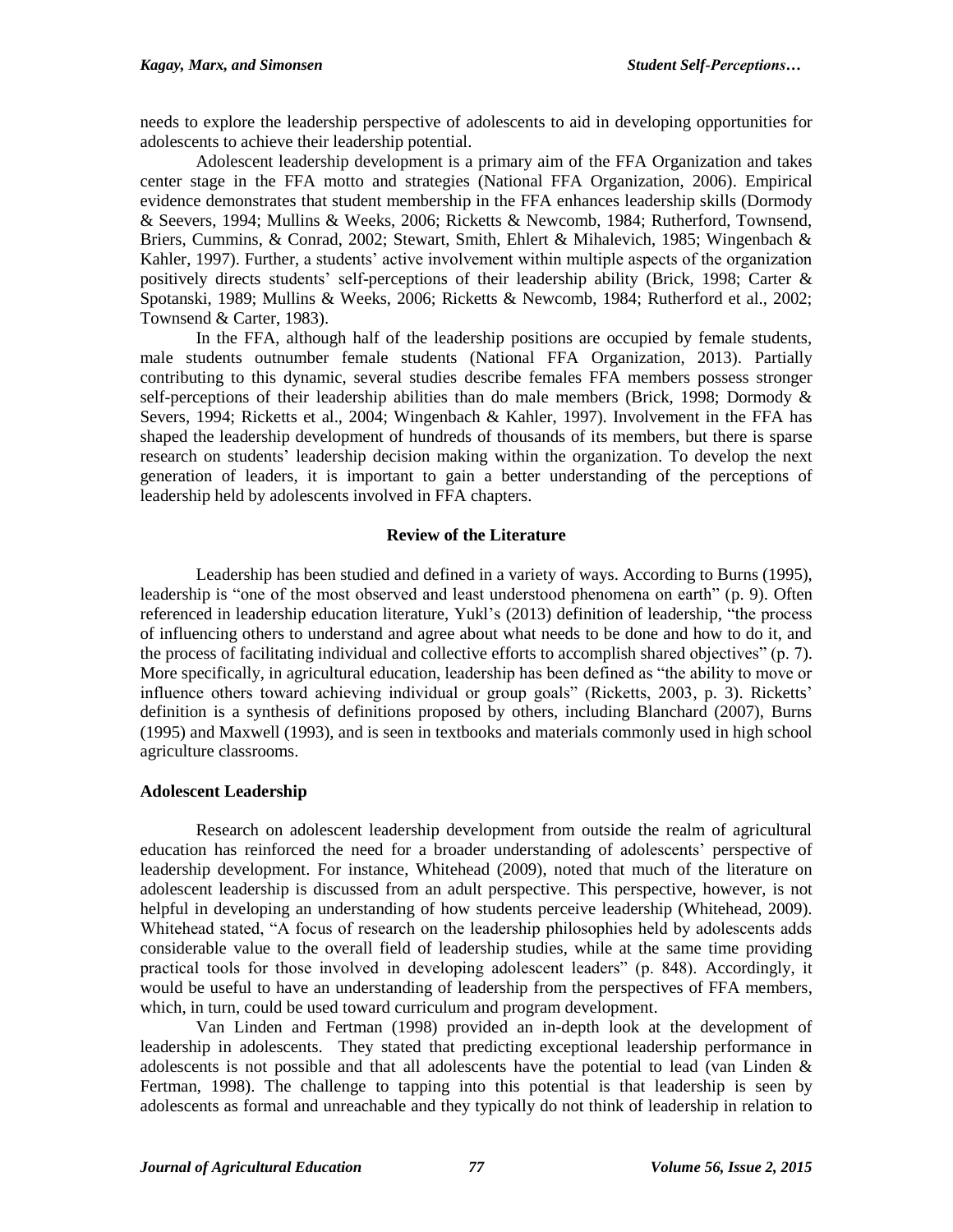needs to explore the leadership perspective of adolescents to aid in developing opportunities for adolescents to achieve their leadership potential.

Adolescent leadership development is a primary aim of the FFA Organization and takes center stage in the FFA motto and strategies (National FFA Organization, 2006). Empirical evidence demonstrates that student membership in the FFA enhances leadership skills (Dormody & Seevers, 1994; Mullins & Weeks, 2006; Ricketts & Newcomb, 1984; Rutherford, Townsend, Briers, Cummins, & Conrad, 2002; Stewart, Smith, Ehlert & Mihalevich, 1985; Wingenbach & Kahler, 1997). Further, a students' active involvement within multiple aspects of the organization positively directs students' self-perceptions of their leadership ability (Brick, 1998; Carter & Spotanski, 1989; Mullins & Weeks, 2006; Ricketts & Newcomb, 1984; Rutherford et al., 2002; Townsend & Carter, 1983).

In the FFA, although half of the leadership positions are occupied by female students, male students outnumber female students (National FFA Organization, 2013). Partially contributing to this dynamic, several studies describe females FFA members possess stronger self-perceptions of their leadership abilities than do male members (Brick, 1998; Dormody & Severs, 1994; Ricketts et al., 2004; Wingenbach & Kahler, 1997). Involvement in the FFA has shaped the leadership development of hundreds of thousands of its members, but there is sparse research on students' leadership decision making within the organization. To develop the next generation of leaders, it is important to gain a better understanding of the perceptions of leadership held by adolescents involved in FFA chapters.

# **Review of the Literature**

Leadership has been studied and defined in a variety of ways. According to Burns (1995), leadership is "one of the most observed and least understood phenomena on earth" (p. 9). Often referenced in leadership education literature, Yukl's (2013) definition of leadership, "the process of influencing others to understand and agree about what needs to be done and how to do it, and the process of facilitating individual and collective efforts to accomplish shared objectives" (p. 7). More specifically, in agricultural education, leadership has been defined as "the ability to move or influence others toward achieving individual or group goals" (Ricketts, 2003, p. 3). Ricketts' definition is a synthesis of definitions proposed by others, including Blanchard (2007), Burns (1995) and Maxwell (1993), and is seen in textbooks and materials commonly used in high school agriculture classrooms.

# **Adolescent Leadership**

Research on adolescent leadership development from outside the realm of agricultural education has reinforced the need for a broader understanding of adolescents' perspective of leadership development. For instance, Whitehead (2009), noted that much of the literature on adolescent leadership is discussed from an adult perspective. This perspective, however, is not helpful in developing an understanding of how students perceive leadership (Whitehead, 2009). Whitehead stated, "A focus of research on the leadership philosophies held by adolescents adds considerable value to the overall field of leadership studies, while at the same time providing practical tools for those involved in developing adolescent leaders" (p. 848). Accordingly, it would be useful to have an understanding of leadership from the perspectives of FFA members, which, in turn, could be used toward curriculum and program development.

Van Linden and Fertman (1998) provided an in-depth look at the development of leadership in adolescents. They stated that predicting exceptional leadership performance in adolescents is not possible and that all adolescents have the potential to lead (van Linden  $\&$ Fertman, 1998). The challenge to tapping into this potential is that leadership is seen by adolescents as formal and unreachable and they typically do not think of leadership in relation to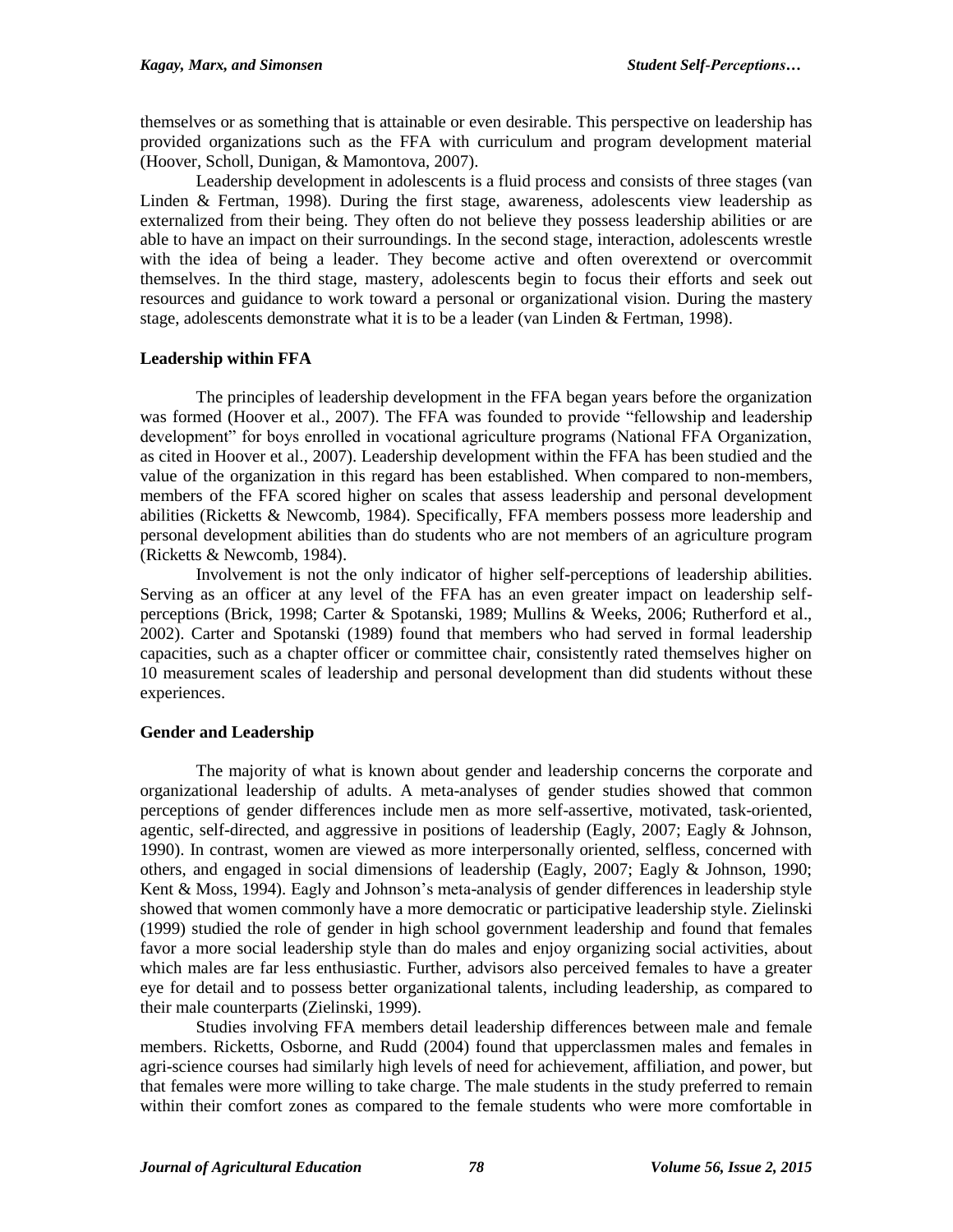themselves or as something that is attainable or even desirable. This perspective on leadership has provided organizations such as the FFA with curriculum and program development material (Hoover, Scholl, Dunigan, & Mamontova, 2007).

Leadership development in adolescents is a fluid process and consists of three stages (van Linden & Fertman, 1998). During the first stage, awareness, adolescents view leadership as externalized from their being. They often do not believe they possess leadership abilities or are able to have an impact on their surroundings. In the second stage, interaction, adolescents wrestle with the idea of being a leader. They become active and often overextend or overcommit themselves. In the third stage, mastery, adolescents begin to focus their efforts and seek out resources and guidance to work toward a personal or organizational vision. During the mastery stage, adolescents demonstrate what it is to be a leader (van Linden & Fertman, 1998).

# **Leadership within FFA**

The principles of leadership development in the FFA began years before the organization was formed (Hoover et al., 2007). The FFA was founded to provide "fellowship and leadership development" for boys enrolled in vocational agriculture programs (National FFA Organization, as cited in Hoover et al., 2007). Leadership development within the FFA has been studied and the value of the organization in this regard has been established. When compared to non-members, members of the FFA scored higher on scales that assess leadership and personal development abilities (Ricketts & Newcomb, 1984). Specifically, FFA members possess more leadership and personal development abilities than do students who are not members of an agriculture program (Ricketts & Newcomb, 1984).

Involvement is not the only indicator of higher self-perceptions of leadership abilities. Serving as an officer at any level of the FFA has an even greater impact on leadership selfperceptions (Brick, 1998; Carter & Spotanski, 1989; Mullins & Weeks, 2006; Rutherford et al., 2002). Carter and Spotanski (1989) found that members who had served in formal leadership capacities, such as a chapter officer or committee chair, consistently rated themselves higher on 10 measurement scales of leadership and personal development than did students without these experiences.

# **Gender and Leadership**

The majority of what is known about gender and leadership concerns the corporate and organizational leadership of adults. A meta-analyses of gender studies showed that common perceptions of gender differences include men as more self-assertive, motivated, task-oriented, agentic, self-directed, and aggressive in positions of leadership (Eagly, 2007; Eagly & Johnson, 1990). In contrast, women are viewed as more interpersonally oriented, selfless, concerned with others, and engaged in social dimensions of leadership (Eagly, 2007; Eagly & Johnson, 1990; Kent & Moss, 1994). Eagly and Johnson's meta-analysis of gender differences in leadership style showed that women commonly have a more democratic or participative leadership style. Zielinski (1999) studied the role of gender in high school government leadership and found that females favor a more social leadership style than do males and enjoy organizing social activities, about which males are far less enthusiastic. Further, advisors also perceived females to have a greater eye for detail and to possess better organizational talents, including leadership, as compared to their male counterparts (Zielinski, 1999).

Studies involving FFA members detail leadership differences between male and female members. Ricketts, Osborne, and Rudd (2004) found that upperclassmen males and females in agri-science courses had similarly high levels of need for achievement, affiliation, and power, but that females were more willing to take charge. The male students in the study preferred to remain within their comfort zones as compared to the female students who were more comfortable in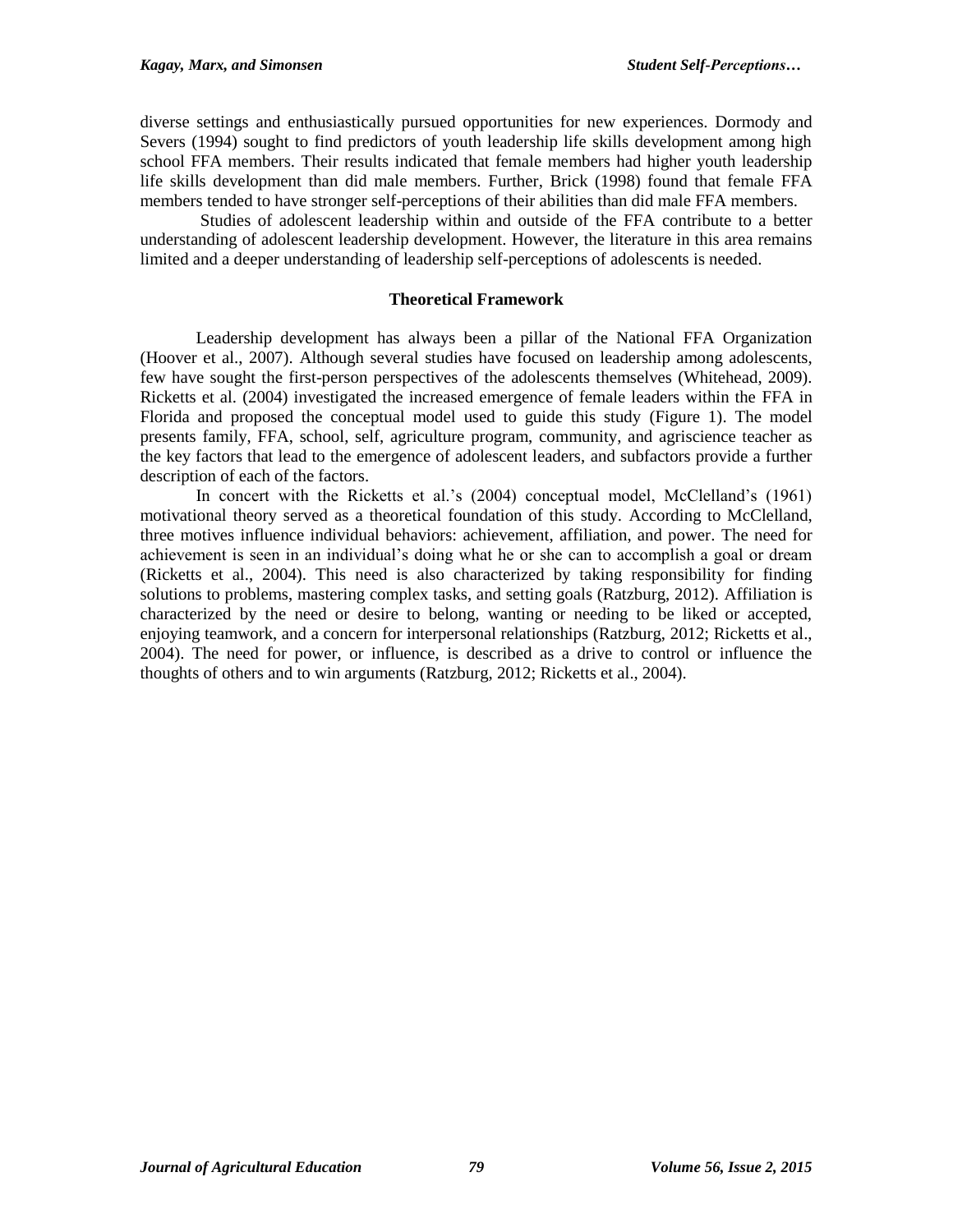diverse settings and enthusiastically pursued opportunities for new experiences. Dormody and Severs (1994) sought to find predictors of youth leadership life skills development among high school FFA members. Their results indicated that female members had higher youth leadership life skills development than did male members. Further, Brick (1998) found that female FFA members tended to have stronger self-perceptions of their abilities than did male FFA members.

Studies of adolescent leadership within and outside of the FFA contribute to a better understanding of adolescent leadership development. However, the literature in this area remains limited and a deeper understanding of leadership self-perceptions of adolescents is needed.

# **Theoretical Framework**

Leadership development has always been a pillar of the National FFA Organization (Hoover et al., 2007). Although several studies have focused on leadership among adolescents, few have sought the first-person perspectives of the adolescents themselves (Whitehead, 2009). Ricketts et al. (2004) investigated the increased emergence of female leaders within the FFA in Florida and proposed the conceptual model used to guide this study (Figure 1). The model presents family, FFA, school, self, agriculture program, community, and agriscience teacher as the key factors that lead to the emergence of adolescent leaders, and subfactors provide a further description of each of the factors.

In concert with the Ricketts et al.'s (2004) conceptual model, McClelland's (1961) motivational theory served as a theoretical foundation of this study. According to McClelland, three motives influence individual behaviors: achievement, affiliation, and power. The need for achievement is seen in an individual's doing what he or she can to accomplish a goal or dream (Ricketts et al., 2004). This need is also characterized by taking responsibility for finding solutions to problems, mastering complex tasks, and setting goals (Ratzburg, 2012). Affiliation is characterized by the need or desire to belong, wanting or needing to be liked or accepted, enjoying teamwork, and a concern for interpersonal relationships (Ratzburg, 2012; Ricketts et al., 2004). The need for power, or influence, is described as a drive to control or influence the thoughts of others and to win arguments (Ratzburg, 2012; Ricketts et al., 2004).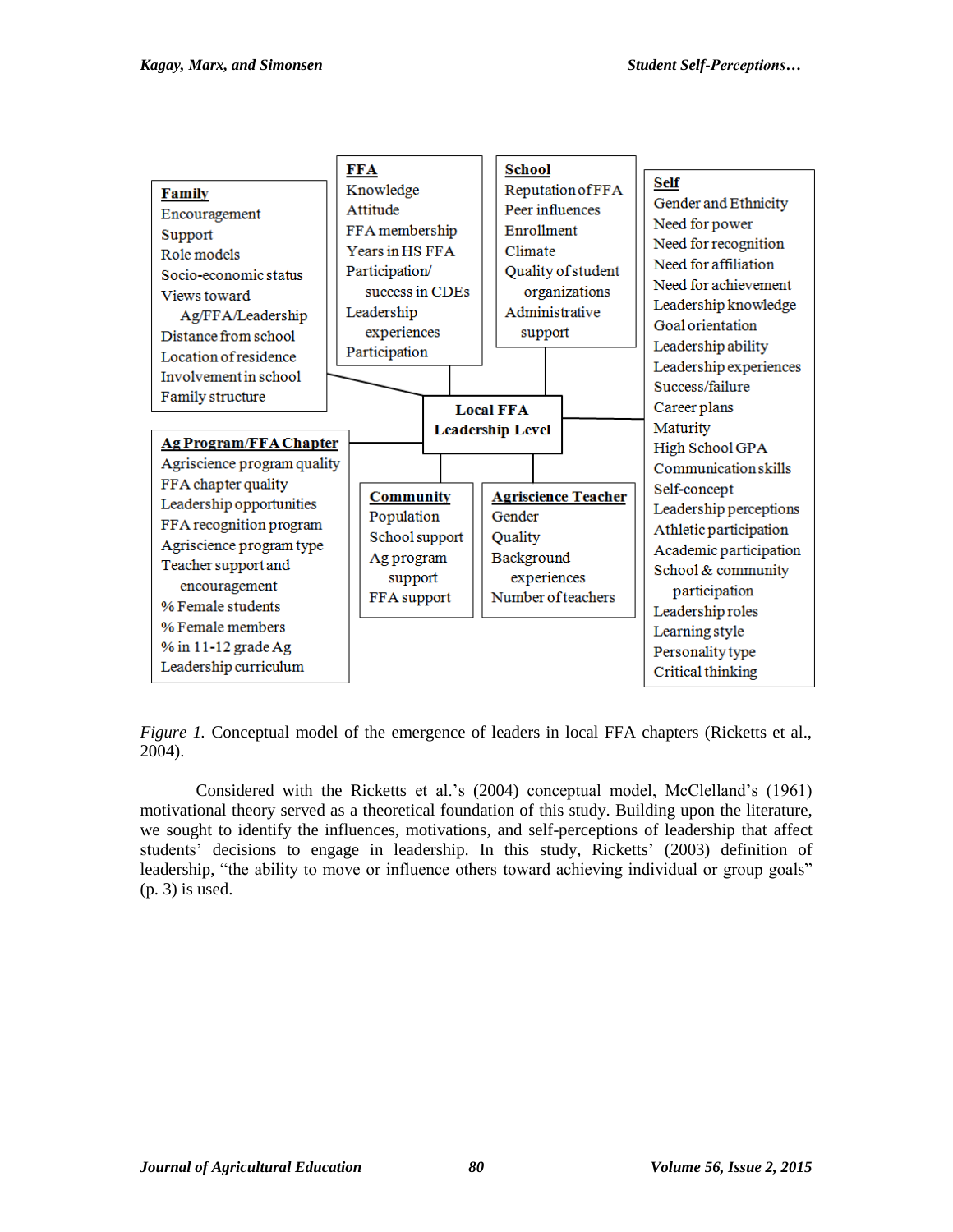

*Figure 1.* Conceptual model of the emergence of leaders in local FFA chapters (Ricketts et al., 2004).

Considered with the Ricketts et al.'s (2004) conceptual model, McClelland's (1961) motivational theory served as a theoretical foundation of this study. Building upon the literature, we sought to identify the influences, motivations, and self-perceptions of leadership that affect students' decisions to engage in leadership. In this study, Ricketts' (2003) definition of leadership, "the ability to move or influence others toward achieving individual or group goals" (p. 3) is used.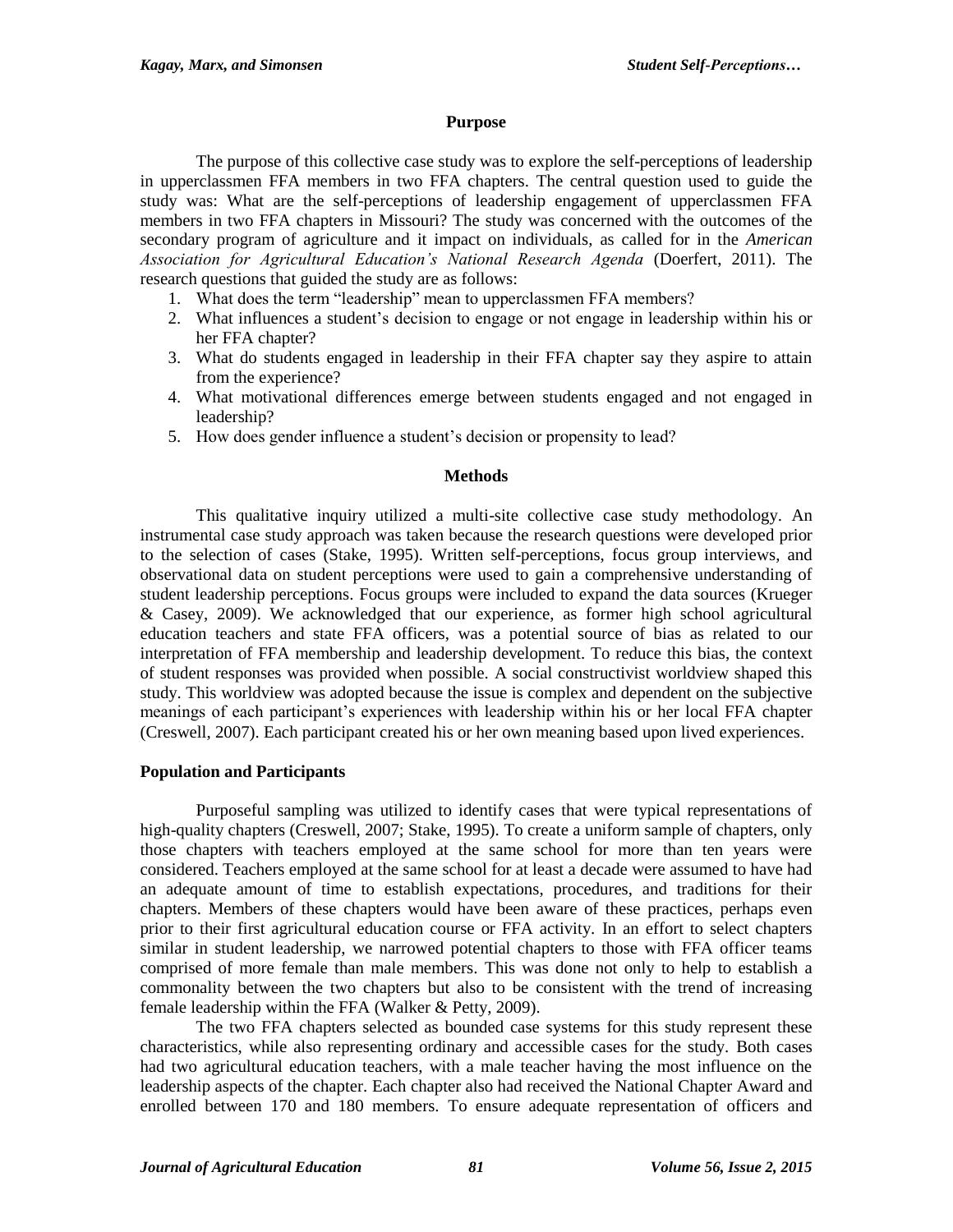#### **Purpose**

The purpose of this collective case study was to explore the self-perceptions of leadership in upperclassmen FFA members in two FFA chapters. The central question used to guide the study was: What are the self-perceptions of leadership engagement of upperclassmen FFA members in two FFA chapters in Missouri? The study was concerned with the outcomes of the secondary program of agriculture and it impact on individuals, as called for in the *American Association for Agricultural Education's National Research Agenda* (Doerfert, 2011). The research questions that guided the study are as follows:

- 1. What does the term "leadership" mean to upperclassmen FFA members?
- 2. What influences a student's decision to engage or not engage in leadership within his or her FFA chapter?
- 3. What do students engaged in leadership in their FFA chapter say they aspire to attain from the experience?
- 4. What motivational differences emerge between students engaged and not engaged in leadership?
- 5. How does gender influence a student's decision or propensity to lead?

#### **Methods**

This qualitative inquiry utilized a multi-site collective case study methodology. An instrumental case study approach was taken because the research questions were developed prior to the selection of cases (Stake, 1995). Written self-perceptions, focus group interviews, and observational data on student perceptions were used to gain a comprehensive understanding of student leadership perceptions. Focus groups were included to expand the data sources (Krueger & Casey, 2009). We acknowledged that our experience, as former high school agricultural education teachers and state FFA officers, was a potential source of bias as related to our interpretation of FFA membership and leadership development. To reduce this bias, the context of student responses was provided when possible. A social constructivist worldview shaped this study. This worldview was adopted because the issue is complex and dependent on the subjective meanings of each participant's experiences with leadership within his or her local FFA chapter (Creswell, 2007). Each participant created his or her own meaning based upon lived experiences.

#### **Population and Participants**

Purposeful sampling was utilized to identify cases that were typical representations of high-quality chapters (Creswell, 2007; Stake, 1995). To create a uniform sample of chapters, only those chapters with teachers employed at the same school for more than ten years were considered. Teachers employed at the same school for at least a decade were assumed to have had an adequate amount of time to establish expectations, procedures, and traditions for their chapters. Members of these chapters would have been aware of these practices, perhaps even prior to their first agricultural education course or FFA activity. In an effort to select chapters similar in student leadership, we narrowed potential chapters to those with FFA officer teams comprised of more female than male members. This was done not only to help to establish a commonality between the two chapters but also to be consistent with the trend of increasing female leadership within the FFA (Walker & Petty, 2009).

The two FFA chapters selected as bounded case systems for this study represent these characteristics, while also representing ordinary and accessible cases for the study. Both cases had two agricultural education teachers, with a male teacher having the most influence on the leadership aspects of the chapter. Each chapter also had received the National Chapter Award and enrolled between 170 and 180 members. To ensure adequate representation of officers and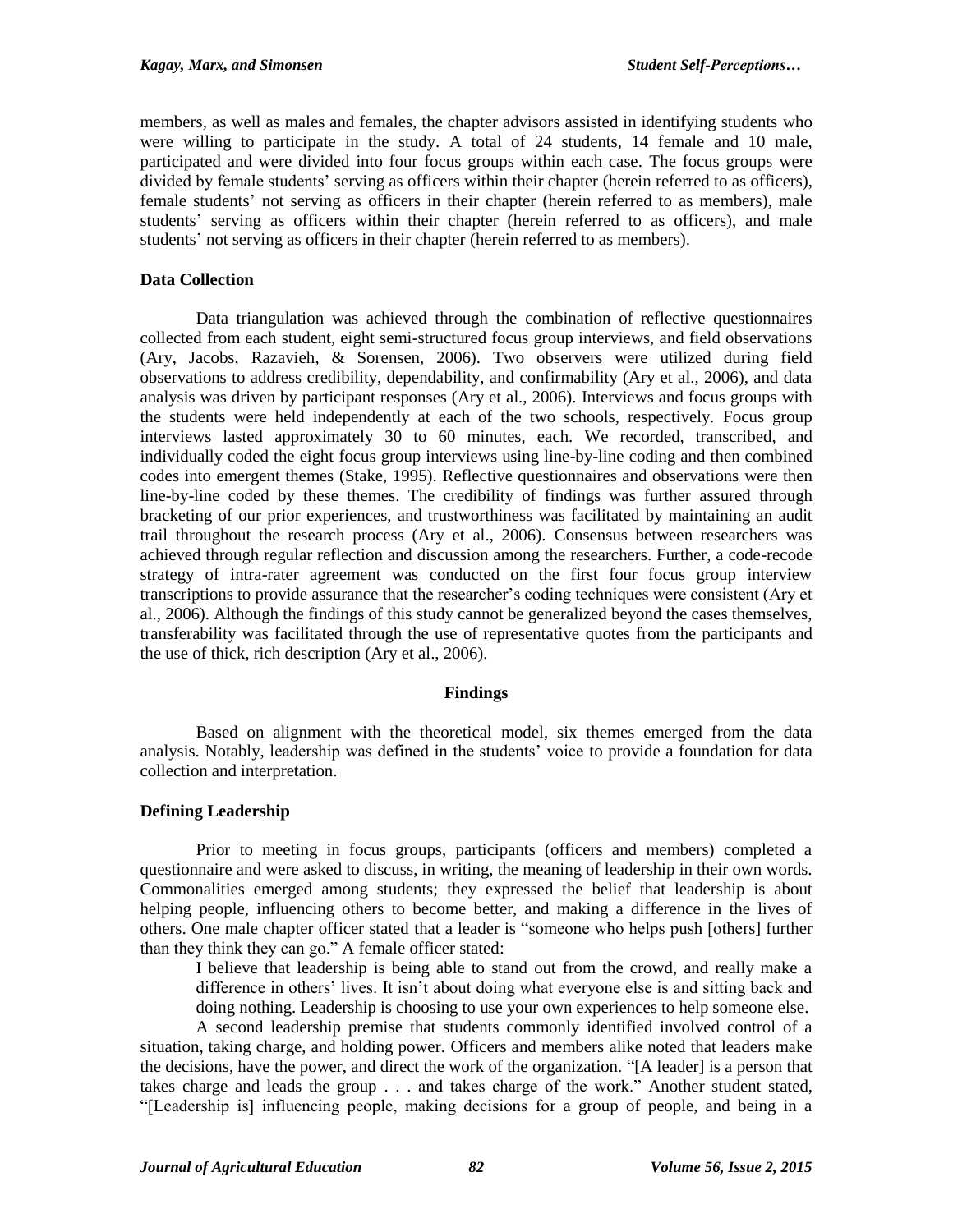members, as well as males and females, the chapter advisors assisted in identifying students who were willing to participate in the study. A total of 24 students, 14 female and 10 male, participated and were divided into four focus groups within each case. The focus groups were divided by female students' serving as officers within their chapter (herein referred to as officers), female students' not serving as officers in their chapter (herein referred to as members), male students' serving as officers within their chapter (herein referred to as officers), and male students' not serving as officers in their chapter (herein referred to as members).

# **Data Collection**

Data triangulation was achieved through the combination of reflective questionnaires collected from each student, eight semi-structured focus group interviews, and field observations (Ary, Jacobs, Razavieh, & Sorensen, 2006). Two observers were utilized during field observations to address credibility, dependability, and confirmability (Ary et al., 2006), and data analysis was driven by participant responses (Ary et al., 2006). Interviews and focus groups with the students were held independently at each of the two schools, respectively. Focus group interviews lasted approximately 30 to 60 minutes, each. We recorded, transcribed, and individually coded the eight focus group interviews using line-by-line coding and then combined codes into emergent themes (Stake, 1995). Reflective questionnaires and observations were then line-by-line coded by these themes. The credibility of findings was further assured through bracketing of our prior experiences, and trustworthiness was facilitated by maintaining an audit trail throughout the research process (Ary et al., 2006). Consensus between researchers was achieved through regular reflection and discussion among the researchers. Further, a code-recode strategy of intra-rater agreement was conducted on the first four focus group interview transcriptions to provide assurance that the researcher's coding techniques were consistent (Ary et al., 2006). Although the findings of this study cannot be generalized beyond the cases themselves, transferability was facilitated through the use of representative quotes from the participants and the use of thick, rich description (Ary et al., 2006).

#### **Findings**

Based on alignment with the theoretical model, six themes emerged from the data analysis. Notably, leadership was defined in the students' voice to provide a foundation for data collection and interpretation.

#### **Defining Leadership**

Prior to meeting in focus groups, participants (officers and members) completed a questionnaire and were asked to discuss, in writing, the meaning of leadership in their own words. Commonalities emerged among students; they expressed the belief that leadership is about helping people, influencing others to become better, and making a difference in the lives of others. One male chapter officer stated that a leader is "someone who helps push [others] further than they think they can go." A female officer stated:

I believe that leadership is being able to stand out from the crowd, and really make a difference in others' lives. It isn't about doing what everyone else is and sitting back and doing nothing. Leadership is choosing to use your own experiences to help someone else.

A second leadership premise that students commonly identified involved control of a situation, taking charge, and holding power. Officers and members alike noted that leaders make the decisions, have the power, and direct the work of the organization. "[A leader] is a person that takes charge and leads the group . . . and takes charge of the work." Another student stated, "[Leadership is] influencing people, making decisions for a group of people, and being in a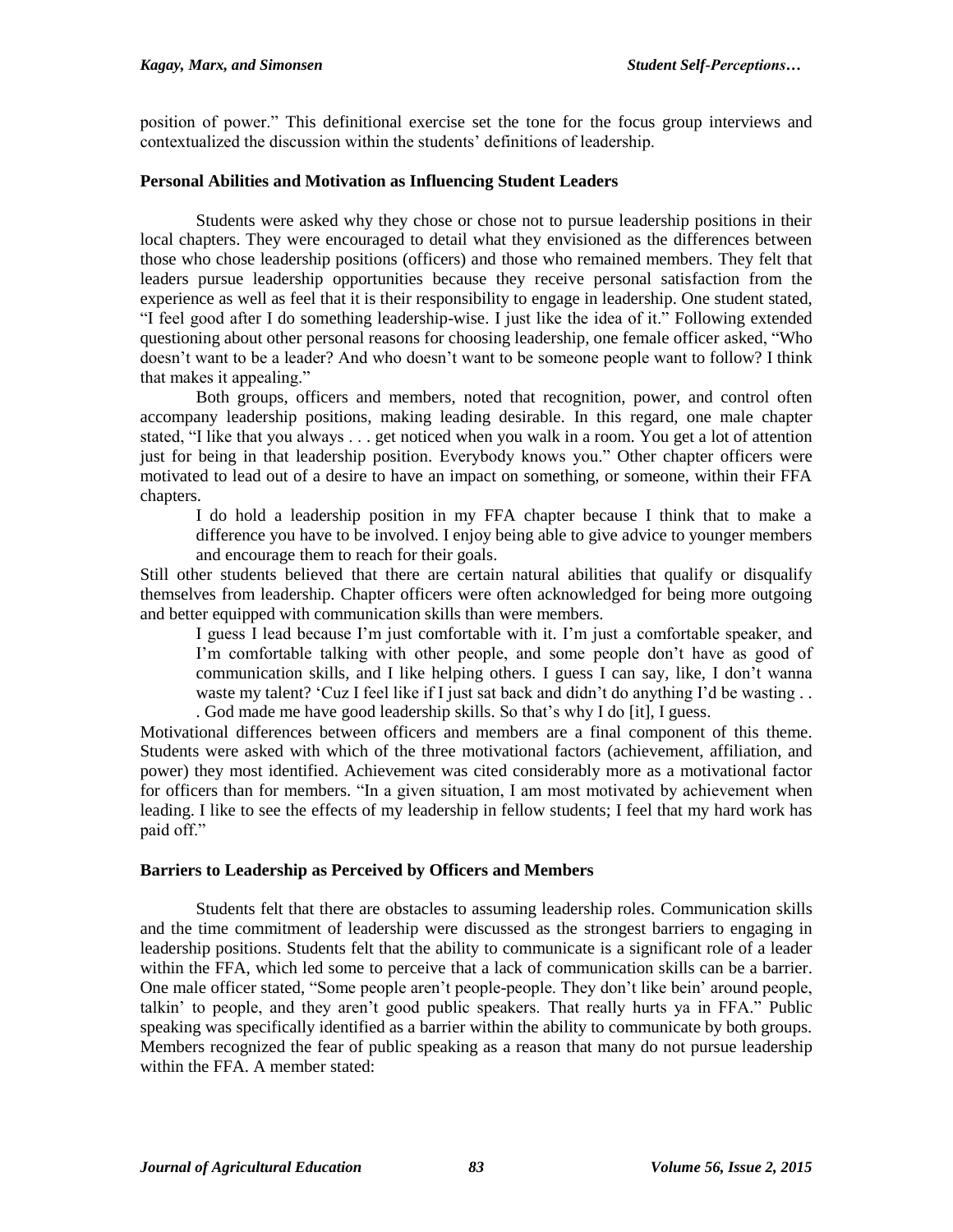position of power." This definitional exercise set the tone for the focus group interviews and contextualized the discussion within the students' definitions of leadership.

# **Personal Abilities and Motivation as Influencing Student Leaders**

Students were asked why they chose or chose not to pursue leadership positions in their local chapters. They were encouraged to detail what they envisioned as the differences between those who chose leadership positions (officers) and those who remained members. They felt that leaders pursue leadership opportunities because they receive personal satisfaction from the experience as well as feel that it is their responsibility to engage in leadership. One student stated, "I feel good after I do something leadership-wise. I just like the idea of it." Following extended questioning about other personal reasons for choosing leadership, one female officer asked, "Who doesn't want to be a leader? And who doesn't want to be someone people want to follow? I think that makes it appealing."

Both groups, officers and members, noted that recognition, power, and control often accompany leadership positions, making leading desirable. In this regard, one male chapter stated, "I like that you always . . . get noticed when you walk in a room. You get a lot of attention just for being in that leadership position. Everybody knows you." Other chapter officers were motivated to lead out of a desire to have an impact on something, or someone, within their FFA chapters.

I do hold a leadership position in my FFA chapter because I think that to make a difference you have to be involved. I enjoy being able to give advice to younger members and encourage them to reach for their goals.

Still other students believed that there are certain natural abilities that qualify or disqualify themselves from leadership. Chapter officers were often acknowledged for being more outgoing and better equipped with communication skills than were members.

I guess I lead because I'm just comfortable with it. I'm just a comfortable speaker, and I'm comfortable talking with other people, and some people don't have as good of communication skills, and I like helping others. I guess I can say, like, I don't wanna waste my talent? 'Cuz I feel like if I just sat back and didn't do anything I'd be wasting ... . God made me have good leadership skills. So that's why I do [it], I guess.

Motivational differences between officers and members are a final component of this theme. Students were asked with which of the three motivational factors (achievement, affiliation, and power) they most identified. Achievement was cited considerably more as a motivational factor for officers than for members. "In a given situation, I am most motivated by achievement when leading. I like to see the effects of my leadership in fellow students; I feel that my hard work has paid off."

#### **Barriers to Leadership as Perceived by Officers and Members**

Students felt that there are obstacles to assuming leadership roles. Communication skills and the time commitment of leadership were discussed as the strongest barriers to engaging in leadership positions. Students felt that the ability to communicate is a significant role of a leader within the FFA, which led some to perceive that a lack of communication skills can be a barrier. One male officer stated, "Some people aren't people-people. They don't like bein' around people, talkin' to people, and they aren't good public speakers. That really hurts ya in FFA." Public speaking was specifically identified as a barrier within the ability to communicate by both groups. Members recognized the fear of public speaking as a reason that many do not pursue leadership within the FFA. A member stated: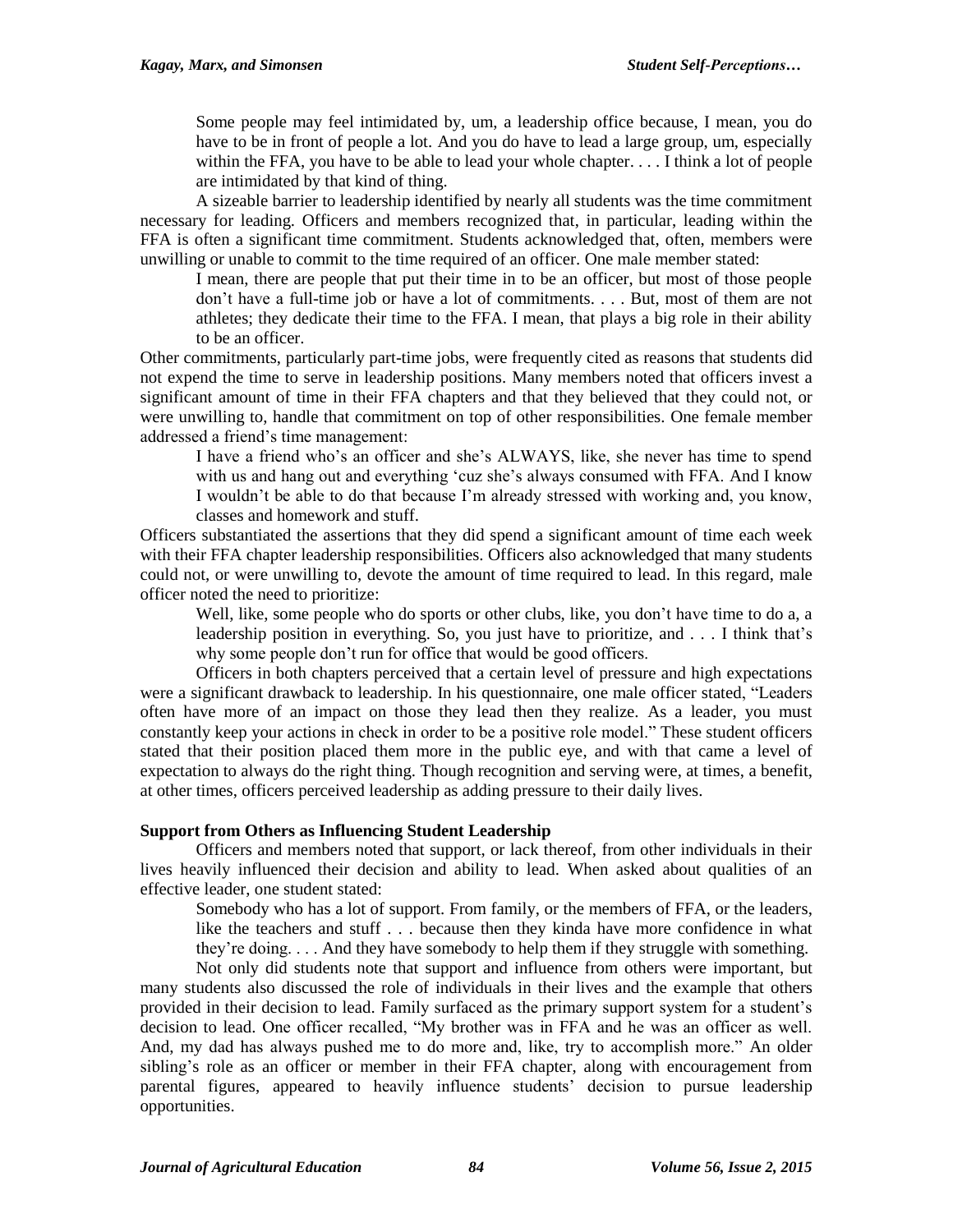Some people may feel intimidated by, um, a leadership office because, I mean, you do have to be in front of people a lot. And you do have to lead a large group, um, especially within the FFA, you have to be able to lead your whole chapter. . . . I think a lot of people are intimidated by that kind of thing.

A sizeable barrier to leadership identified by nearly all students was the time commitment necessary for leading. Officers and members recognized that, in particular, leading within the FFA is often a significant time commitment. Students acknowledged that, often, members were unwilling or unable to commit to the time required of an officer. One male member stated:

I mean, there are people that put their time in to be an officer, but most of those people don't have a full-time job or have a lot of commitments. . . . But, most of them are not athletes; they dedicate their time to the FFA. I mean, that plays a big role in their ability to be an officer.

Other commitments, particularly part-time jobs, were frequently cited as reasons that students did not expend the time to serve in leadership positions. Many members noted that officers invest a significant amount of time in their FFA chapters and that they believed that they could not, or were unwilling to, handle that commitment on top of other responsibilities. One female member addressed a friend's time management:

I have a friend who's an officer and she's ALWAYS, like, she never has time to spend with us and hang out and everything 'cuz she's always consumed with FFA. And I know I wouldn't be able to do that because I'm already stressed with working and, you know, classes and homework and stuff.

Officers substantiated the assertions that they did spend a significant amount of time each week with their FFA chapter leadership responsibilities. Officers also acknowledged that many students could not, or were unwilling to, devote the amount of time required to lead. In this regard, male officer noted the need to prioritize:

Well, like, some people who do sports or other clubs, like, you don't have time to do a, a leadership position in everything. So, you just have to prioritize, and . . . I think that's why some people don't run for office that would be good officers.

Officers in both chapters perceived that a certain level of pressure and high expectations were a significant drawback to leadership. In his questionnaire, one male officer stated, "Leaders often have more of an impact on those they lead then they realize. As a leader, you must constantly keep your actions in check in order to be a positive role model." These student officers stated that their position placed them more in the public eye, and with that came a level of expectation to always do the right thing. Though recognition and serving were, at times, a benefit, at other times, officers perceived leadership as adding pressure to their daily lives.

#### **Support from Others as Influencing Student Leadership**

Officers and members noted that support, or lack thereof, from other individuals in their lives heavily influenced their decision and ability to lead. When asked about qualities of an effective leader, one student stated:

Somebody who has a lot of support. From family, or the members of FFA, or the leaders, like the teachers and stuff . . . because then they kinda have more confidence in what they're doing. . . . And they have somebody to help them if they struggle with something.

Not only did students note that support and influence from others were important, but many students also discussed the role of individuals in their lives and the example that others provided in their decision to lead. Family surfaced as the primary support system for a student's decision to lead. One officer recalled, "My brother was in FFA and he was an officer as well. And, my dad has always pushed me to do more and, like, try to accomplish more." An older sibling's role as an officer or member in their FFA chapter, along with encouragement from parental figures, appeared to heavily influence students' decision to pursue leadership opportunities.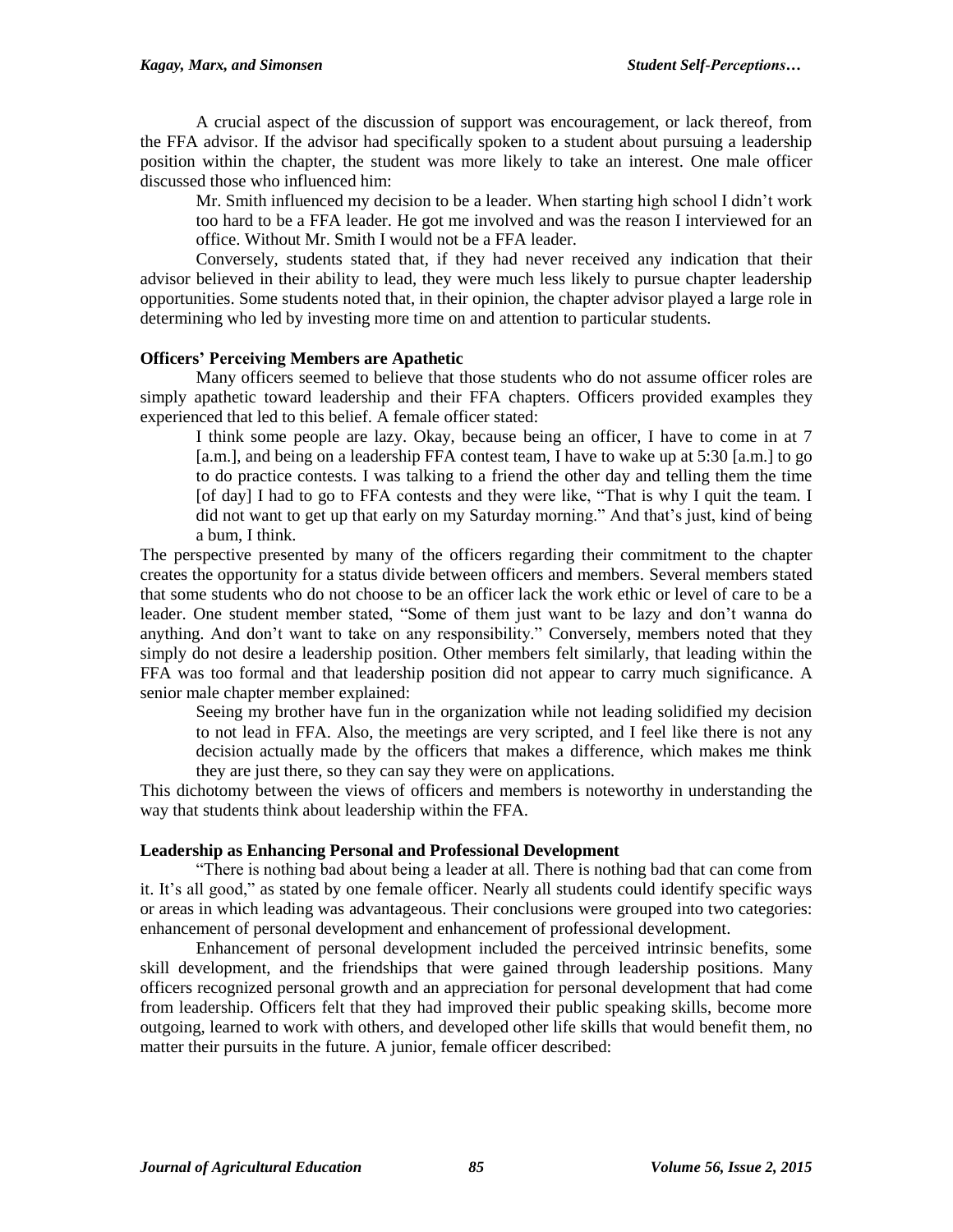A crucial aspect of the discussion of support was encouragement, or lack thereof, from the FFA advisor. If the advisor had specifically spoken to a student about pursuing a leadership position within the chapter, the student was more likely to take an interest. One male officer discussed those who influenced him:

Mr. Smith influenced my decision to be a leader. When starting high school I didn't work too hard to be a FFA leader. He got me involved and was the reason I interviewed for an office. Without Mr. Smith I would not be a FFA leader.

Conversely, students stated that, if they had never received any indication that their advisor believed in their ability to lead, they were much less likely to pursue chapter leadership opportunities. Some students noted that, in their opinion, the chapter advisor played a large role in determining who led by investing more time on and attention to particular students.

#### **Officers' Perceiving Members are Apathetic**

Many officers seemed to believe that those students who do not assume officer roles are simply apathetic toward leadership and their FFA chapters. Officers provided examples they experienced that led to this belief. A female officer stated:

I think some people are lazy. Okay, because being an officer, I have to come in at 7 [a.m.], and being on a leadership FFA contest team, I have to wake up at 5:30 [a.m.] to go to do practice contests. I was talking to a friend the other day and telling them the time [of day] I had to go to FFA contests and they were like, "That is why I quit the team. I did not want to get up that early on my Saturday morning." And that's just, kind of being a bum, I think.

The perspective presented by many of the officers regarding their commitment to the chapter creates the opportunity for a status divide between officers and members. Several members stated that some students who do not choose to be an officer lack the work ethic or level of care to be a leader. One student member stated, "Some of them just want to be lazy and don't wanna do anything. And don't want to take on any responsibility." Conversely, members noted that they simply do not desire a leadership position. Other members felt similarly, that leading within the FFA was too formal and that leadership position did not appear to carry much significance. A senior male chapter member explained:

Seeing my brother have fun in the organization while not leading solidified my decision to not lead in FFA. Also, the meetings are very scripted, and I feel like there is not any decision actually made by the officers that makes a difference, which makes me think they are just there, so they can say they were on applications.

This dichotomy between the views of officers and members is noteworthy in understanding the way that students think about leadership within the FFA.

#### **Leadership as Enhancing Personal and Professional Development**

"There is nothing bad about being a leader at all. There is nothing bad that can come from it. It's all good," as stated by one female officer. Nearly all students could identify specific ways or areas in which leading was advantageous. Their conclusions were grouped into two categories: enhancement of personal development and enhancement of professional development.

Enhancement of personal development included the perceived intrinsic benefits, some skill development, and the friendships that were gained through leadership positions. Many officers recognized personal growth and an appreciation for personal development that had come from leadership. Officers felt that they had improved their public speaking skills, become more outgoing, learned to work with others, and developed other life skills that would benefit them, no matter their pursuits in the future. A junior, female officer described: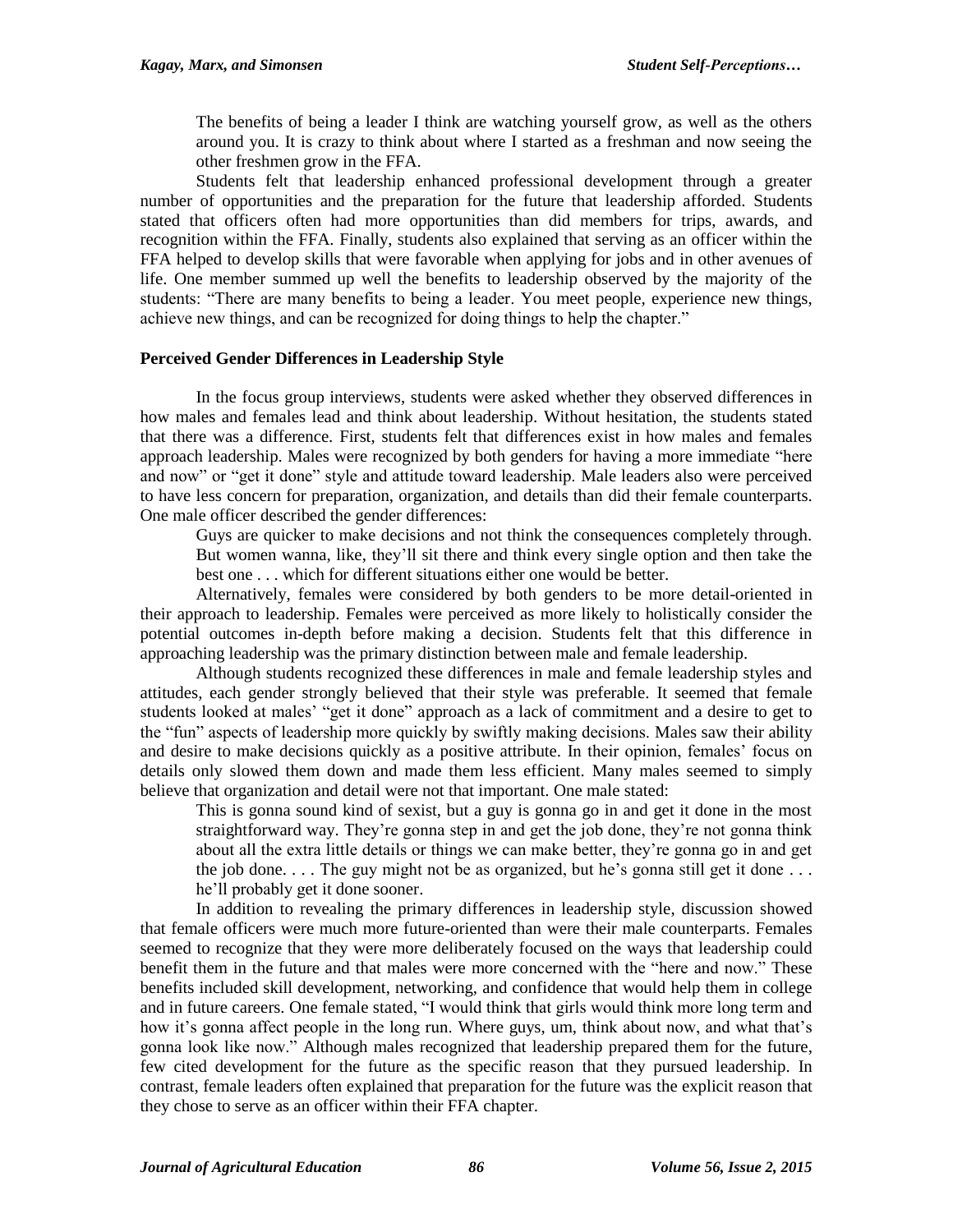The benefits of being a leader I think are watching yourself grow, as well as the others around you. It is crazy to think about where I started as a freshman and now seeing the other freshmen grow in the FFA.

Students felt that leadership enhanced professional development through a greater number of opportunities and the preparation for the future that leadership afforded. Students stated that officers often had more opportunities than did members for trips, awards, and recognition within the FFA. Finally, students also explained that serving as an officer within the FFA helped to develop skills that were favorable when applying for jobs and in other avenues of life. One member summed up well the benefits to leadership observed by the majority of the students: "There are many benefits to being a leader. You meet people, experience new things, achieve new things, and can be recognized for doing things to help the chapter."

# **Perceived Gender Differences in Leadership Style**

In the focus group interviews, students were asked whether they observed differences in how males and females lead and think about leadership. Without hesitation, the students stated that there was a difference. First, students felt that differences exist in how males and females approach leadership. Males were recognized by both genders for having a more immediate "here and now" or "get it done" style and attitude toward leadership. Male leaders also were perceived to have less concern for preparation, organization, and details than did their female counterparts. One male officer described the gender differences:

Guys are quicker to make decisions and not think the consequences completely through. But women wanna, like, they'll sit there and think every single option and then take the best one . . . which for different situations either one would be better.

Alternatively, females were considered by both genders to be more detail-oriented in their approach to leadership. Females were perceived as more likely to holistically consider the potential outcomes in-depth before making a decision. Students felt that this difference in approaching leadership was the primary distinction between male and female leadership.

Although students recognized these differences in male and female leadership styles and attitudes, each gender strongly believed that their style was preferable. It seemed that female students looked at males' "get it done" approach as a lack of commitment and a desire to get to the "fun" aspects of leadership more quickly by swiftly making decisions. Males saw their ability and desire to make decisions quickly as a positive attribute. In their opinion, females' focus on details only slowed them down and made them less efficient. Many males seemed to simply believe that organization and detail were not that important. One male stated:

This is gonna sound kind of sexist, but a guy is gonna go in and get it done in the most straightforward way. They're gonna step in and get the job done, they're not gonna think about all the extra little details or things we can make better, they're gonna go in and get the job done.  $\ldots$ . The guy might not be as organized, but he's gonna still get it done  $\ldots$ he'll probably get it done sooner.

In addition to revealing the primary differences in leadership style, discussion showed that female officers were much more future-oriented than were their male counterparts. Females seemed to recognize that they were more deliberately focused on the ways that leadership could benefit them in the future and that males were more concerned with the "here and now." These benefits included skill development, networking, and confidence that would help them in college and in future careers. One female stated, "I would think that girls would think more long term and how it's gonna affect people in the long run. Where guys, um, think about now, and what that's gonna look like now." Although males recognized that leadership prepared them for the future, few cited development for the future as the specific reason that they pursued leadership. In contrast, female leaders often explained that preparation for the future was the explicit reason that they chose to serve as an officer within their FFA chapter.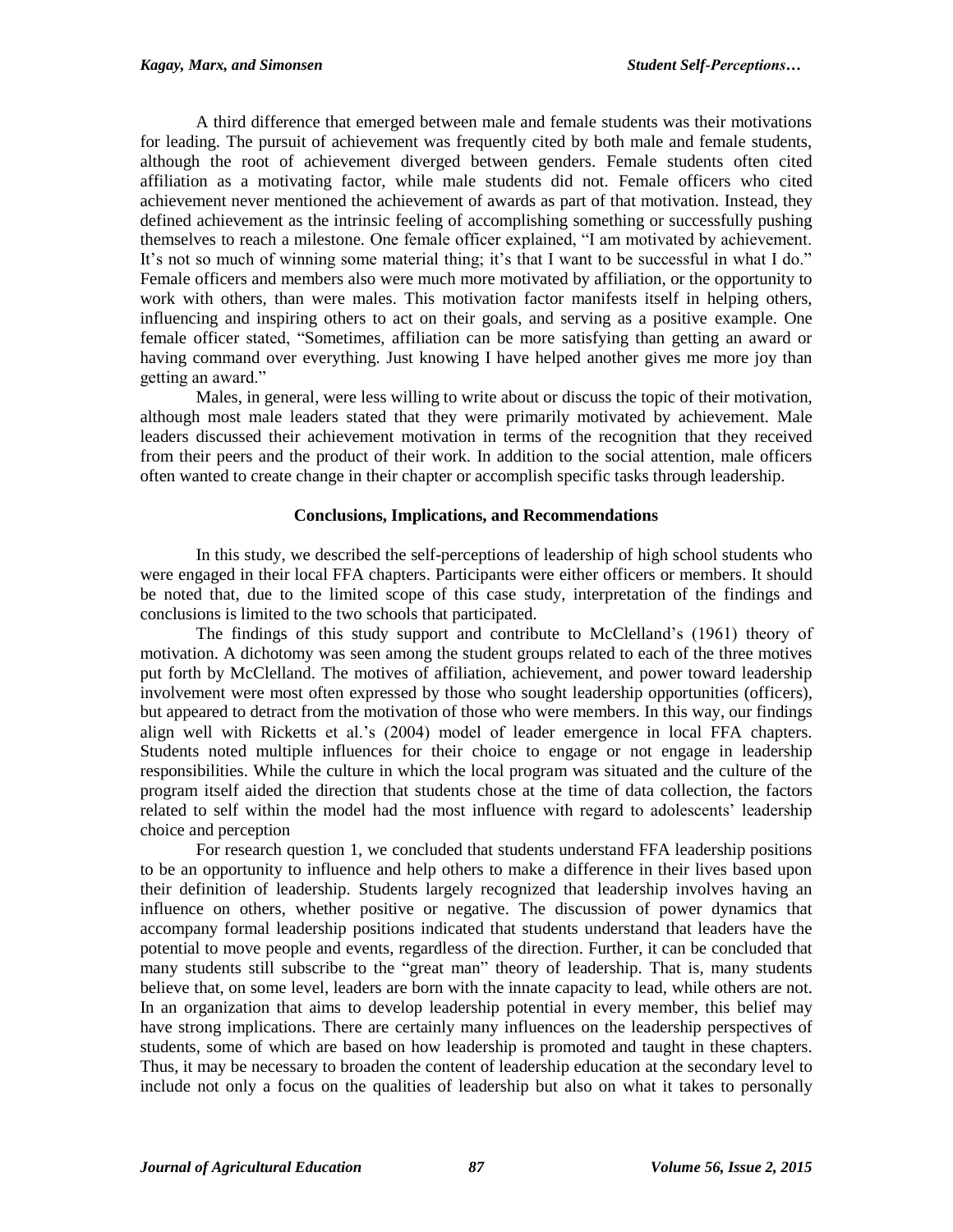A third difference that emerged between male and female students was their motivations for leading. The pursuit of achievement was frequently cited by both male and female students, although the root of achievement diverged between genders. Female students often cited affiliation as a motivating factor, while male students did not. Female officers who cited achievement never mentioned the achievement of awards as part of that motivation. Instead, they defined achievement as the intrinsic feeling of accomplishing something or successfully pushing themselves to reach a milestone. One female officer explained, "I am motivated by achievement. It's not so much of winning some material thing; it's that I want to be successful in what I do." Female officers and members also were much more motivated by affiliation, or the opportunity to work with others, than were males. This motivation factor manifests itself in helping others, influencing and inspiring others to act on their goals, and serving as a positive example. One female officer stated, "Sometimes, affiliation can be more satisfying than getting an award or having command over everything. Just knowing I have helped another gives me more joy than getting an award."

Males, in general, were less willing to write about or discuss the topic of their motivation, although most male leaders stated that they were primarily motivated by achievement. Male leaders discussed their achievement motivation in terms of the recognition that they received from their peers and the product of their work. In addition to the social attention, male officers often wanted to create change in their chapter or accomplish specific tasks through leadership.

# **Conclusions, Implications, and Recommendations**

In this study, we described the self-perceptions of leadership of high school students who were engaged in their local FFA chapters. Participants were either officers or members. It should be noted that, due to the limited scope of this case study, interpretation of the findings and conclusions is limited to the two schools that participated.

The findings of this study support and contribute to McClelland's (1961) theory of motivation. A dichotomy was seen among the student groups related to each of the three motives put forth by McClelland. The motives of affiliation, achievement, and power toward leadership involvement were most often expressed by those who sought leadership opportunities (officers), but appeared to detract from the motivation of those who were members. In this way, our findings align well with Ricketts et al.'s (2004) model of leader emergence in local FFA chapters. Students noted multiple influences for their choice to engage or not engage in leadership responsibilities. While the culture in which the local program was situated and the culture of the program itself aided the direction that students chose at the time of data collection, the factors related to self within the model had the most influence with regard to adolescents' leadership choice and perception

For research question 1, we concluded that students understand FFA leadership positions to be an opportunity to influence and help others to make a difference in their lives based upon their definition of leadership. Students largely recognized that leadership involves having an influence on others, whether positive or negative. The discussion of power dynamics that accompany formal leadership positions indicated that students understand that leaders have the potential to move people and events, regardless of the direction. Further, it can be concluded that many students still subscribe to the "great man" theory of leadership. That is, many students believe that, on some level, leaders are born with the innate capacity to lead, while others are not. In an organization that aims to develop leadership potential in every member, this belief may have strong implications. There are certainly many influences on the leadership perspectives of students, some of which are based on how leadership is promoted and taught in these chapters. Thus, it may be necessary to broaden the content of leadership education at the secondary level to include not only a focus on the qualities of leadership but also on what it takes to personally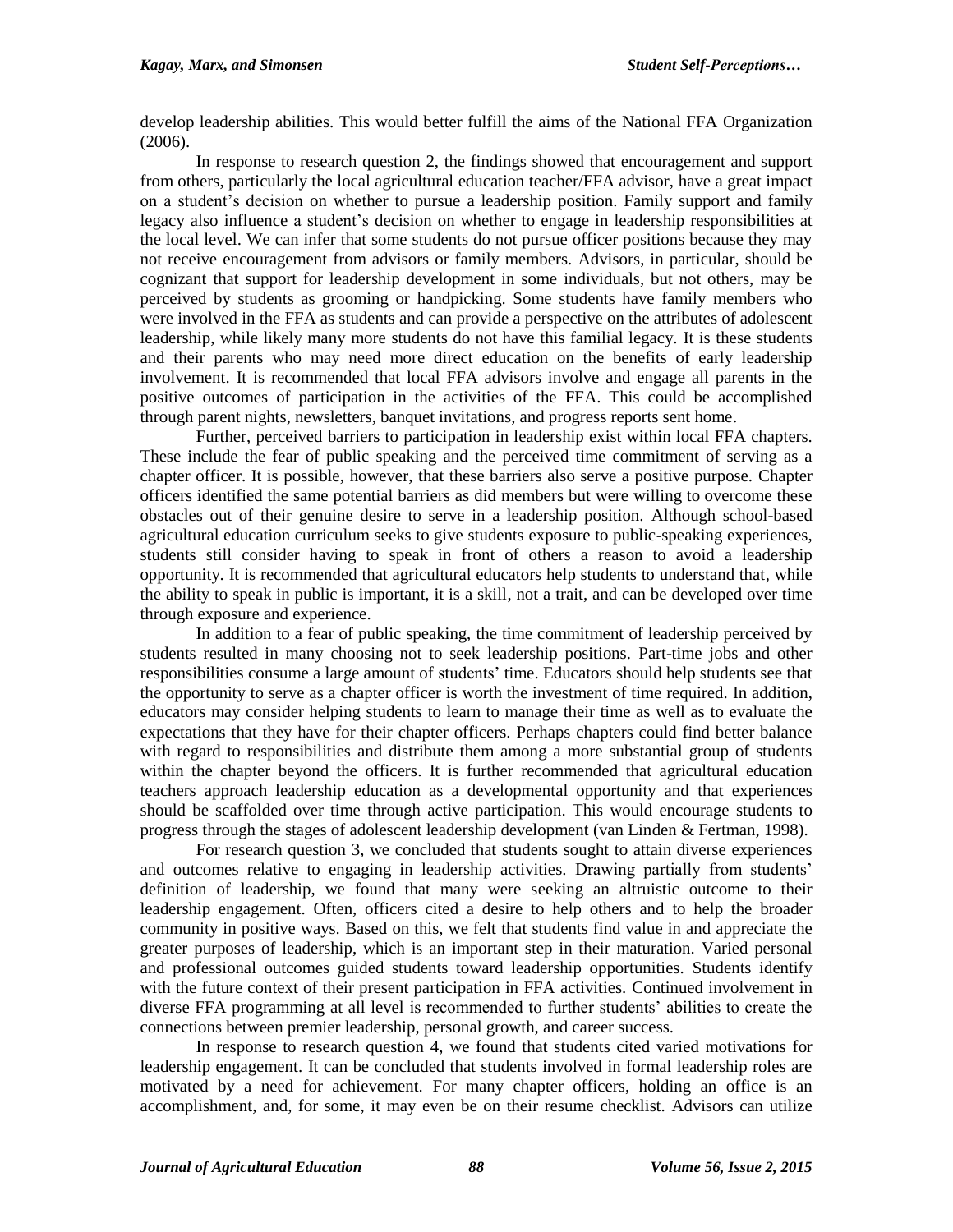develop leadership abilities. This would better fulfill the aims of the National FFA Organization (2006).

In response to research question 2, the findings showed that encouragement and support from others, particularly the local agricultural education teacher/FFA advisor, have a great impact on a student's decision on whether to pursue a leadership position. Family support and family legacy also influence a student's decision on whether to engage in leadership responsibilities at the local level. We can infer that some students do not pursue officer positions because they may not receive encouragement from advisors or family members. Advisors, in particular, should be cognizant that support for leadership development in some individuals, but not others, may be perceived by students as grooming or handpicking. Some students have family members who were involved in the FFA as students and can provide a perspective on the attributes of adolescent leadership, while likely many more students do not have this familial legacy. It is these students and their parents who may need more direct education on the benefits of early leadership involvement. It is recommended that local FFA advisors involve and engage all parents in the positive outcomes of participation in the activities of the FFA. This could be accomplished through parent nights, newsletters, banquet invitations, and progress reports sent home.

Further, perceived barriers to participation in leadership exist within local FFA chapters. These include the fear of public speaking and the perceived time commitment of serving as a chapter officer. It is possible, however, that these barriers also serve a positive purpose. Chapter officers identified the same potential barriers as did members but were willing to overcome these obstacles out of their genuine desire to serve in a leadership position. Although school-based agricultural education curriculum seeks to give students exposure to public-speaking experiences, students still consider having to speak in front of others a reason to avoid a leadership opportunity. It is recommended that agricultural educators help students to understand that, while the ability to speak in public is important, it is a skill, not a trait, and can be developed over time through exposure and experience.

In addition to a fear of public speaking, the time commitment of leadership perceived by students resulted in many choosing not to seek leadership positions. Part-time jobs and other responsibilities consume a large amount of students' time. Educators should help students see that the opportunity to serve as a chapter officer is worth the investment of time required. In addition, educators may consider helping students to learn to manage their time as well as to evaluate the expectations that they have for their chapter officers. Perhaps chapters could find better balance with regard to responsibilities and distribute them among a more substantial group of students within the chapter beyond the officers. It is further recommended that agricultural education teachers approach leadership education as a developmental opportunity and that experiences should be scaffolded over time through active participation. This would encourage students to progress through the stages of adolescent leadership development (van Linden & Fertman, 1998).

For research question 3, we concluded that students sought to attain diverse experiences and outcomes relative to engaging in leadership activities. Drawing partially from students' definition of leadership, we found that many were seeking an altruistic outcome to their leadership engagement. Often, officers cited a desire to help others and to help the broader community in positive ways. Based on this, we felt that students find value in and appreciate the greater purposes of leadership, which is an important step in their maturation. Varied personal and professional outcomes guided students toward leadership opportunities. Students identify with the future context of their present participation in FFA activities. Continued involvement in diverse FFA programming at all level is recommended to further students' abilities to create the connections between premier leadership, personal growth, and career success.

In response to research question 4, we found that students cited varied motivations for leadership engagement. It can be concluded that students involved in formal leadership roles are motivated by a need for achievement. For many chapter officers, holding an office is an accomplishment, and, for some, it may even be on their resume checklist. Advisors can utilize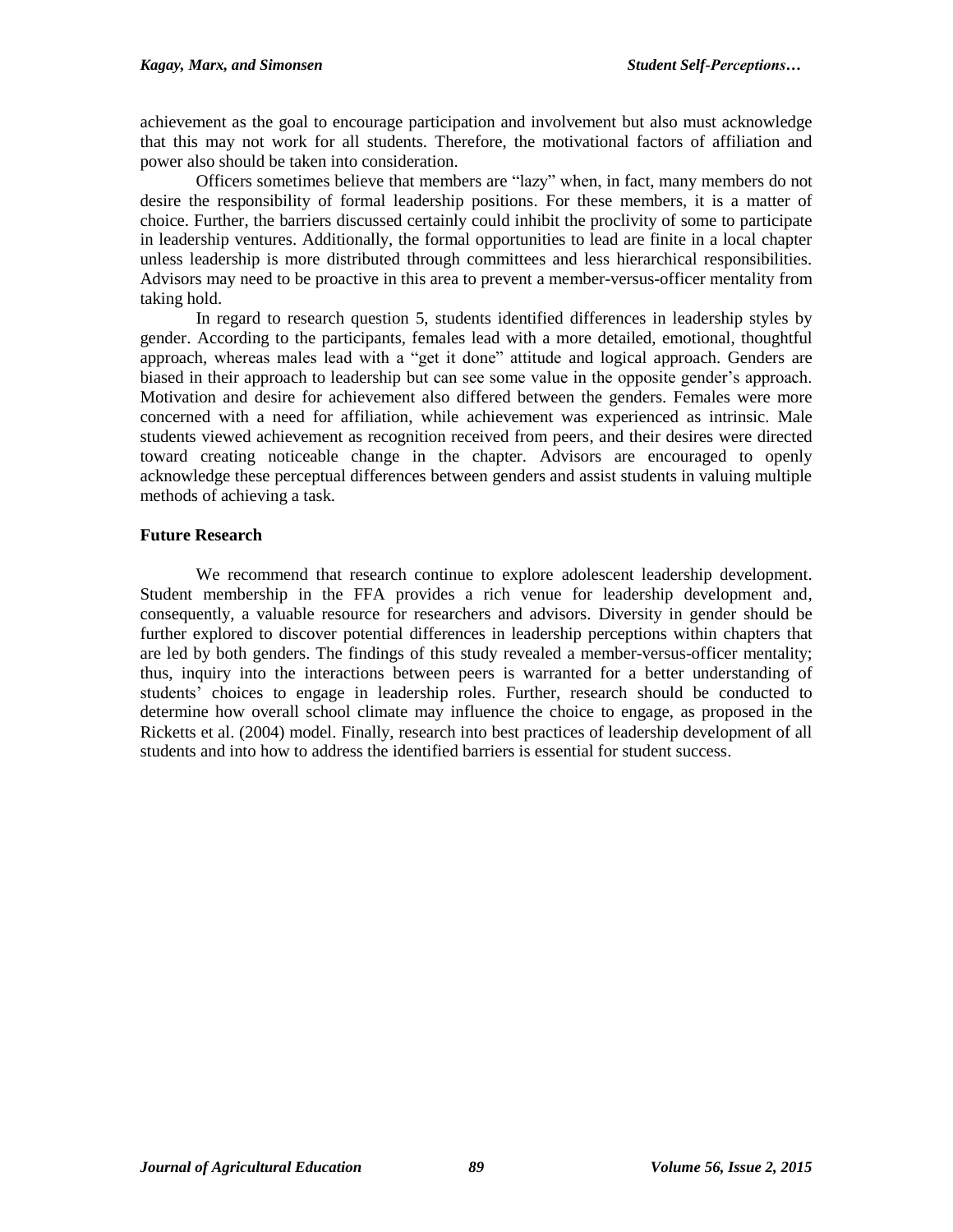achievement as the goal to encourage participation and involvement but also must acknowledge that this may not work for all students. Therefore, the motivational factors of affiliation and power also should be taken into consideration.

Officers sometimes believe that members are "lazy" when, in fact, many members do not desire the responsibility of formal leadership positions. For these members, it is a matter of choice. Further, the barriers discussed certainly could inhibit the proclivity of some to participate in leadership ventures. Additionally, the formal opportunities to lead are finite in a local chapter unless leadership is more distributed through committees and less hierarchical responsibilities. Advisors may need to be proactive in this area to prevent a member-versus-officer mentality from taking hold.

In regard to research question 5, students identified differences in leadership styles by gender. According to the participants, females lead with a more detailed, emotional, thoughtful approach, whereas males lead with a "get it done" attitude and logical approach. Genders are biased in their approach to leadership but can see some value in the opposite gender's approach. Motivation and desire for achievement also differed between the genders. Females were more concerned with a need for affiliation, while achievement was experienced as intrinsic. Male students viewed achievement as recognition received from peers, and their desires were directed toward creating noticeable change in the chapter. Advisors are encouraged to openly acknowledge these perceptual differences between genders and assist students in valuing multiple methods of achieving a task.

# **Future Research**

We recommend that research continue to explore adolescent leadership development. Student membership in the FFA provides a rich venue for leadership development and, consequently, a valuable resource for researchers and advisors. Diversity in gender should be further explored to discover potential differences in leadership perceptions within chapters that are led by both genders. The findings of this study revealed a member-versus-officer mentality; thus, inquiry into the interactions between peers is warranted for a better understanding of students' choices to engage in leadership roles. Further, research should be conducted to determine how overall school climate may influence the choice to engage, as proposed in the Ricketts et al. (2004) model. Finally, research into best practices of leadership development of all students and into how to address the identified barriers is essential for student success.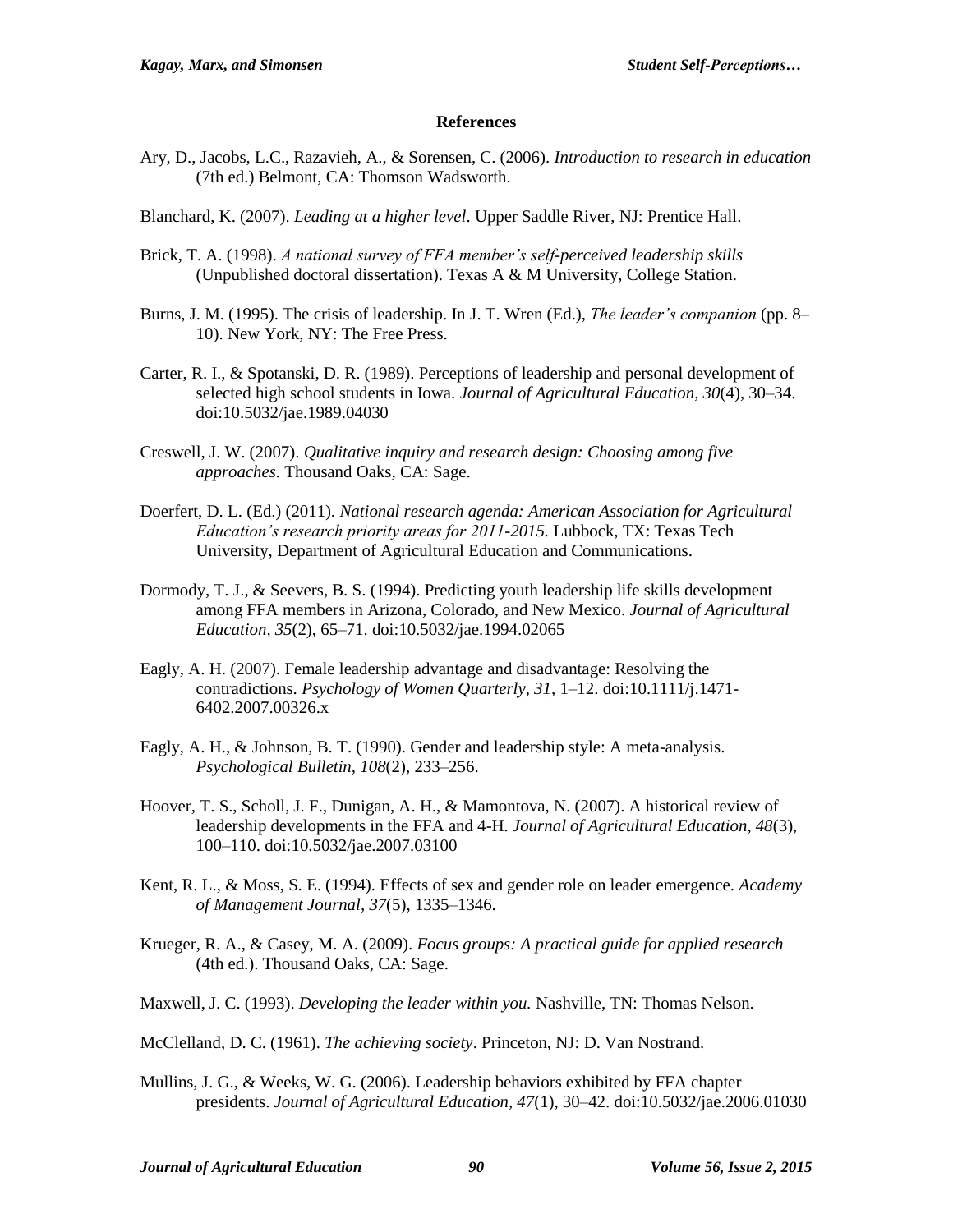#### **References**

- Ary, D., Jacobs, L.C., Razavieh, A., & Sorensen, C. (2006). *Introduction to research in education* (7th ed.) Belmont, CA: Thomson Wadsworth.
- Blanchard, K. (2007). *Leading at a higher level*. Upper Saddle River, NJ: Prentice Hall.
- Brick, T. A. (1998). *A national survey of FFA member's self-perceived leadership skills* (Unpublished doctoral dissertation). Texas A & M University, College Station.
- Burns, J. M. (1995). The crisis of leadership. In J. T. Wren (Ed.), *The leader's companion* (pp. 8– 10). New York, NY: The Free Press.
- Carter, R. I., & Spotanski, D. R. (1989). Perceptions of leadership and personal development of selected high school students in Iowa. *Journal of Agricultural Education, 30*(4), 30–34. doi:10.5032/jae.1989.04030
- Creswell, J. W. (2007). *Qualitative inquiry and research design: Choosing among five approaches.* Thousand Oaks, CA: Sage.
- Doerfert, D. L. (Ed.) (2011). *National research agenda: American Association for Agricultural Education's research priority areas for 2011-2015.* Lubbock, TX: Texas Tech University, Department of Agricultural Education and Communications.
- Dormody, T. J., & Seevers, B. S. (1994). Predicting youth leadership life skills development among FFA members in Arizona, Colorado, and New Mexico. *Journal of Agricultural Education, 35*(2), 65–71. doi:10.5032/jae.1994.02065
- Eagly, A. H. (2007). Female leadership advantage and disadvantage: Resolving the contradictions. *Psychology of Women Quarterly, 31,* 1–12. doi:10.1111/j.1471- 6402.2007.00326.x
- Eagly, A. H., & Johnson, B. T. (1990). Gender and leadership style: A meta-analysis. *Psychological Bulletin, 108*(2), 233–256.
- Hoover, T. S., Scholl, J. F., Dunigan, A. H., & Mamontova, N. (2007). A historical review of leadership developments in the FFA and 4-H. *Journal of Agricultural Education, 48*(3), 100–110. doi:10.5032/jae.2007.03100
- Kent, R. L., & Moss, S. E. (1994). Effects of sex and gender role on leader emergence. *Academy of Management Journal, 37*(5), 1335–1346.
- Krueger, R. A., & Casey, M. A. (2009). *Focus groups: A practical guide for applied research*  (4th ed.). Thousand Oaks, CA: Sage.
- Maxwell, J. C. (1993). *Developing the leader within you.* Nashville, TN: Thomas Nelson.
- McClelland, D. C. (1961). *The achieving society*. Princeton, NJ: D. Van Nostrand.
- Mullins, J. G., & Weeks, W. G. (2006). Leadership behaviors exhibited by FFA chapter presidents. *Journal of Agricultural Education, 47*(1), 30–42. doi:10.5032/jae.2006.01030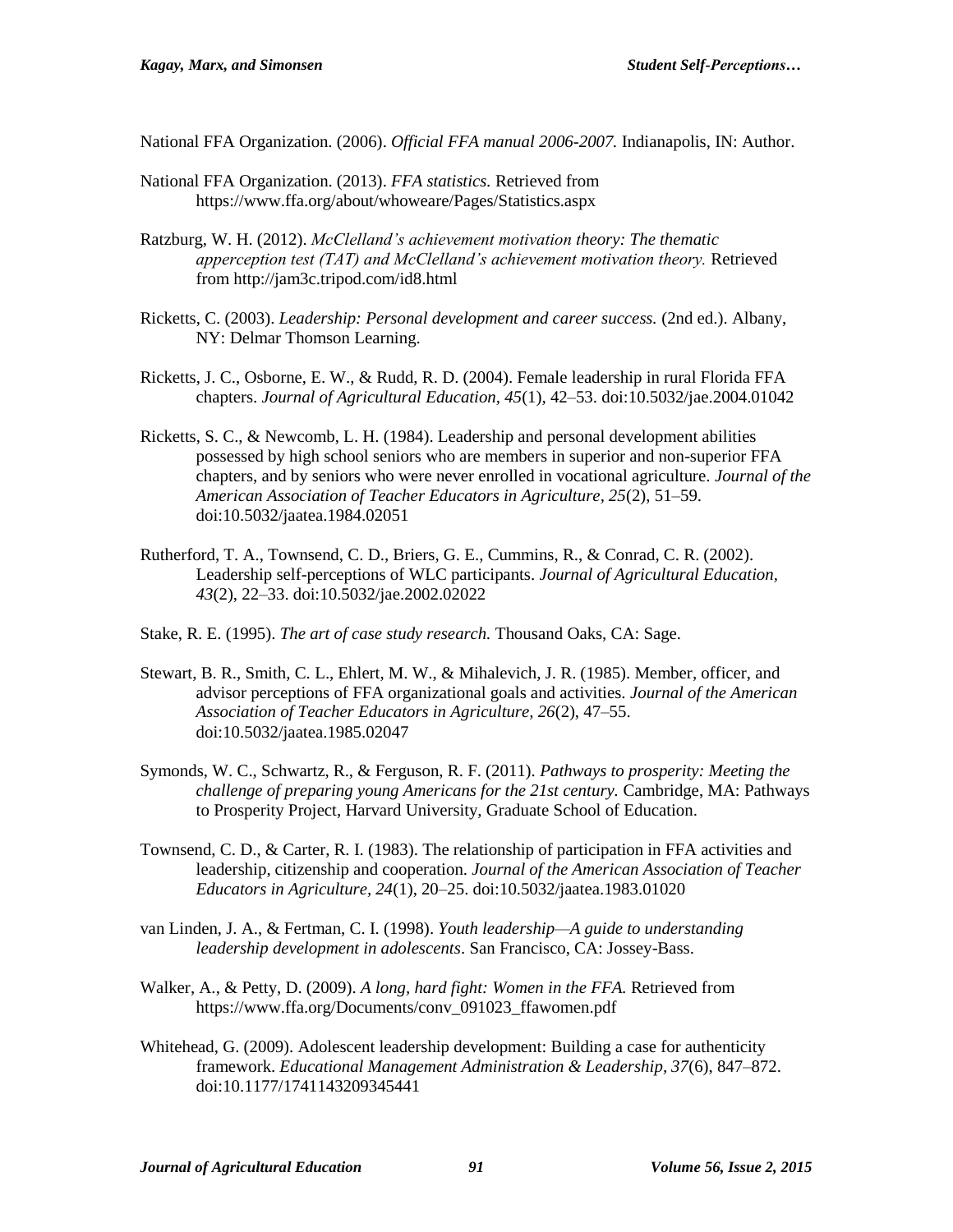National FFA Organization. (2006). *Official FFA manual 2006-2007.* Indianapolis, IN: Author.

- National FFA Organization. (2013). *FFA statistics.* Retrieved from <https://www.ffa.org/about/whoweare/Pages/Statistics.aspx>
- Ratzburg, W. H. (2012). *McClelland's achievement motivation theory: The thematic apperception test (TAT) and McClelland's achievement motivation theory.* Retrieved from http://jam3c.tripod.com/id8.html
- Ricketts, C. (2003). *Leadership: Personal development and career success.* (2nd ed.). Albany, NY: Delmar Thomson Learning.
- Ricketts, J. C., Osborne, E. W., & Rudd, R. D. (2004). Female leadership in rural Florida FFA chapters. *Journal of Agricultural Education, 45*(1), 42–53. doi:10.5032/jae.2004.01042
- Ricketts, S. C., & Newcomb, L. H. (1984). Leadership and personal development abilities possessed by high school seniors who are members in superior and non-superior FFA chapters, and by seniors who were never enrolled in vocational agriculture. *Journal of the American Association of Teacher Educators in Agriculture, 25*(2), 51–59. doi:10.5032/jaatea.1984.02051
- Rutherford, T. A., Townsend, C. D., Briers, G. E., Cummins, R., & Conrad, C. R. (2002). Leadership self-perceptions of WLC participants. *Journal of Agricultural Education, 43*(2), 22–33. doi:10.5032/jae.2002.02022
- Stake, R. E. (1995). *The art of case study research.* Thousand Oaks, CA: Sage.
- Stewart, B. R., Smith, C. L., Ehlert, M. W., & Mihalevich, J. R. (1985). Member, officer, and advisor perceptions of FFA organizational goals and activities. *Journal of the American Association of Teacher Educators in Agriculture, 26*(2), 47–55. doi:10.5032/jaatea.1985.02047
- Symonds, W. C., Schwartz, R., & Ferguson, R. F. (2011). *Pathways to prosperity: Meeting the challenge of preparing young Americans for the 21st century.* Cambridge, MA: Pathways to Prosperity Project, Harvard University, Graduate School of Education.
- Townsend, C. D., & Carter, R. I. (1983). The relationship of participation in FFA activities and leadership, citizenship and cooperation. *Journal of the American Association of Teacher Educators in Agriculture, 24*(1), 20–25. doi:10.5032/jaatea.1983.01020
- van Linden, J. A., & Fertman, C. I. (1998). *Youth leadership—A guide to understanding leadership development in adolescents*. San Francisco, CA: Jossey-Bass.
- Walker, A., & Petty, D. (2009). *A long, hard fight: Women in the FFA.* Retrieved from https://www.ffa.org/Documents/conv\_091023\_ffawomen.pdf
- Whitehead, G. (2009). Adolescent leadership development: Building a case for authenticity framework. *Educational Management Administration & Leadership, 37*(6), 847–872. doi:10.1177/1741143209345441